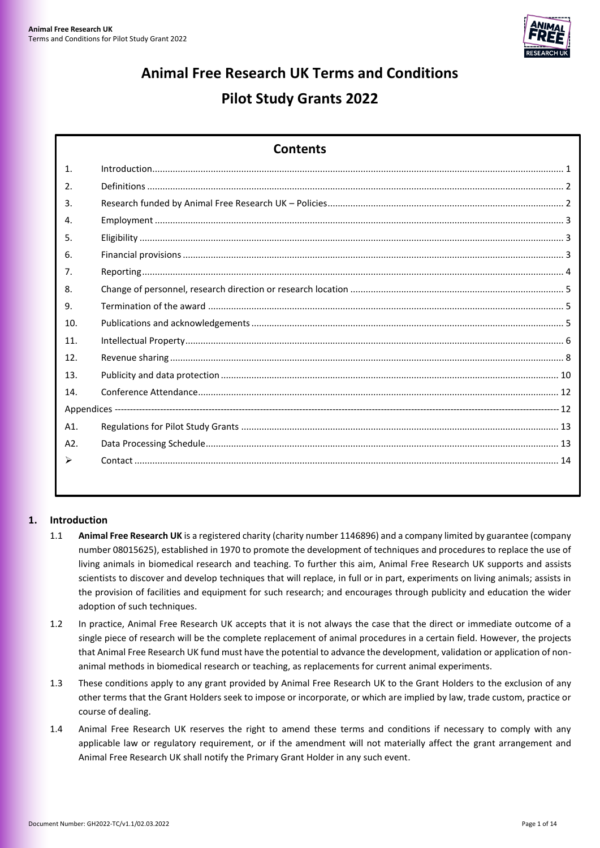

# **Animal Free Research UK Terms and Conditions Pilot Study Grants 2022**

| <b>Contents</b> |  |  |  |  |
|-----------------|--|--|--|--|
| 1.              |  |  |  |  |
| 2.              |  |  |  |  |
| 3.              |  |  |  |  |
| 4.              |  |  |  |  |
| 5.              |  |  |  |  |
| 6.              |  |  |  |  |
| 7 <sub>1</sub>  |  |  |  |  |
| 8.              |  |  |  |  |
| 9.              |  |  |  |  |
| 10.             |  |  |  |  |
| 11.             |  |  |  |  |
| 12.             |  |  |  |  |
| 13.             |  |  |  |  |
| 14.             |  |  |  |  |
|                 |  |  |  |  |
| A1.             |  |  |  |  |
| A2.             |  |  |  |  |
|                 |  |  |  |  |
|                 |  |  |  |  |

# <span id="page-0-0"></span>**1. Introduction**

- 1.1 **Animal Free Research UK** is a registered charity (charity number 1146896) and a company limited by guarantee (company number 08015625), established in 1970 to promote the development of techniques and procedures to replace the use of living animals in biomedical research and teaching. To further this aim, Animal Free Research UK supports and assists scientists to discover and develop techniques that will replace, in full or in part, experiments on living animals; assists in the provision of facilities and equipment for such research; and encourages through publicity and education the wider adoption of such techniques.
- 1.2 In practice, Animal Free Research UK accepts that it is not always the case that the direct or immediate outcome of a single piece of research will be the complete replacement of animal procedures in a certain field. However, the projects that Animal Free Research UK fund must have the potential to advance the development, validation or application of nonanimal methods in biomedical research or teaching, as replacements for current animal experiments.
- 1.3 These conditions apply to any grant provided by Animal Free Research UK to the Grant Holders to the exclusion of any other terms that the Grant Holders seek to impose or incorporate, or which are implied by law, trade custom, practice or course of dealing.
- 1.4 Animal Free Research UK reserves the right to amend these terms and conditions if necessary to comply with any applicable law or regulatory requirement, or if the amendment will not materially affect the grant arrangement and Animal Free Research UK shall notify the Primary Grant Holder in any such event.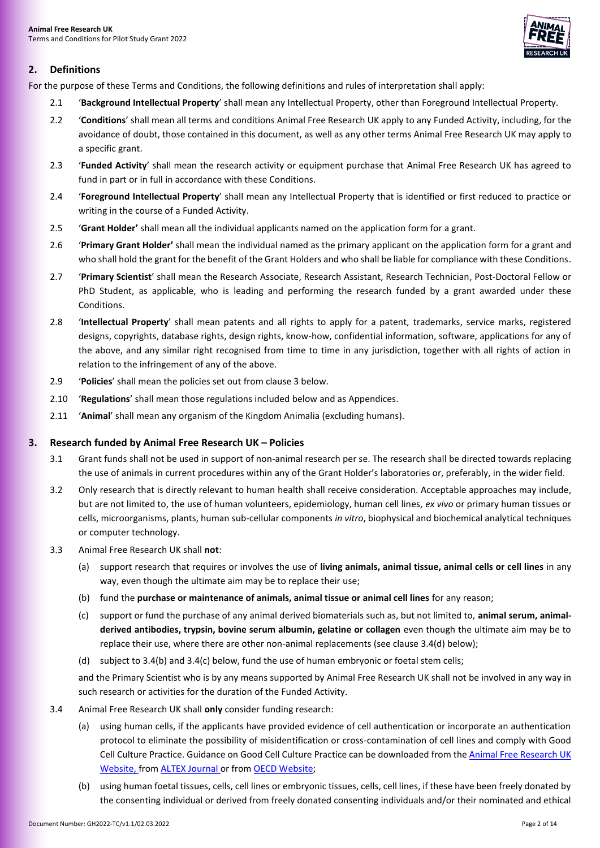

# <span id="page-1-0"></span>**2. Definitions**

For the purpose of these Terms and Conditions, the following definitions and rules of interpretation shall apply:

- 2.1 '**Background Intellectual Property**' shall mean any Intellectual Property, other than Foreground Intellectual Property.
- 2.2 '**Conditions**' shall mean all terms and conditions Animal Free Research UK apply to any Funded Activity, including, for the avoidance of doubt, those contained in this document, as well as any other terms Animal Free Research UK may apply to a specific grant.
- 2.3 '**Funded Activity**' shall mean the research activity or equipment purchase that Animal Free Research UK has agreed to fund in part or in full in accordance with these Conditions.
- 2.4 '**Foreground Intellectual Property**' shall mean any Intellectual Property that is identified or first reduced to practice or writing in the course of a Funded Activity.
- 2.5 '**Grant Holder'** shall mean all the individual applicants named on the application form for a grant.
- 2.6 '**Primary Grant Holder'** shall mean the individual named as the primary applicant on the application form for a grant and who shall hold the grant for the benefit of the Grant Holders and who shall be liable for compliance with these Conditions.
- 2.7 '**Primary Scientist**' shall mean the Research Associate, Research Assistant, Research Technician, Post-Doctoral Fellow or PhD Student, as applicable, who is leading and performing the research funded by a grant awarded under these Conditions.
- 2.8 '**Intellectual Property**' shall mean patents and all rights to apply for a patent, trademarks, service marks, registered designs, copyrights, database rights, design rights, know-how, confidential information, software, applications for any of the above, and any similar right recognised from time to time in any jurisdiction, together with all rights of action in relation to the infringement of any of the above.
- 2.9 '**Policies**' shall mean the policies set out from claus[e 3 below.](#page-1-1)
- 2.10 '**Regulations**' shall mean those regulations included below and as Appendices.
- 2.11 '**Animal**' shall mean any organism of the Kingdom Animalia (excluding humans).

#### <span id="page-1-1"></span>**3. Research funded by Animal Free Research UK – Policies**

- 3.1 Grant funds shall not be used in support of non-animal research per se. The research shall be directed towards replacing the use of animals in current procedures within any of the Grant Holder's laboratories or, preferably, in the wider field.
- 3.2 Only research that is directly relevant to human health shall receive consideration. Acceptable approaches may include, but are not limited to, the use of human volunteers, epidemiology, human cell lines, *ex vivo* or primary human tissues or cells, microorganisms, plants, human sub-cellular components *in vitro*, biophysical and biochemical analytical techniques or computer technology.
- <span id="page-1-3"></span>3.3 Animal Free Research UK shall **not**:
	- (a) support research that requires or involves the use of **living animals, animal tissue, animal cells or cell lines** in any way, even though the ultimate aim may be to replace their use;
	- (b) fund the **purchase or maintenance of animals, animal tissue or animal cell lines** for any reason;
	- (c) support or fund the purchase of any animal derived biomaterials such as, but not limited to, **animal serum, animalderived antibodies, trypsin, bovine serum albumin, gelatine or collagen** even though the ultimate aim may be to replace their use, where there are other non-animal replacements (see claus[e 3.4\(d\)](#page-2-3) below);
	- (d) subject to [3.4\(b\)](#page-1-2) an[d 3.4\(c\) below,](#page-2-4) fund the use of human embryonic or foetal stem cells;

and the Primary Scientist who is by any means supported by Animal Free Research UK shall not be involved in any way in such research or activities for the duration of the Funded Activity.

- <span id="page-1-2"></span>3.4 Animal Free Research UK shall **only** consider funding research:
	- (a) using human cells, if the applicants have provided evidence of cell authentication or incorporate an authentication protocol to eliminate the possibility of misidentification or cross-contamination of cell lines and comply with Good Cell Culture Practice. Guidance on Good Cell Culture Practice can be downloaded from the Animal Free Research UK [Website,](https://www.animalfreeresearchuk.org/wp-content/uploads/2018/09/GCCPtaskforcereport2.pdf) from [ALTEX Journal o](https://www.altex.org/index.php/altex/article/view/1000/1127)r from [OECD Website;](https://www.oecd-ilibrary.org/environment/guidance-document-on-good-in-vitro-method-practices-givimp/good-cell-culture-practice-gccp_9789264304796-16-en)
	- (b) using human foetal tissues, cells, cell lines or embryonic tissues, cells, cell lines, if these have been freely donated by the consenting individual or derived from freely donated consenting individuals and/or their nominated and ethical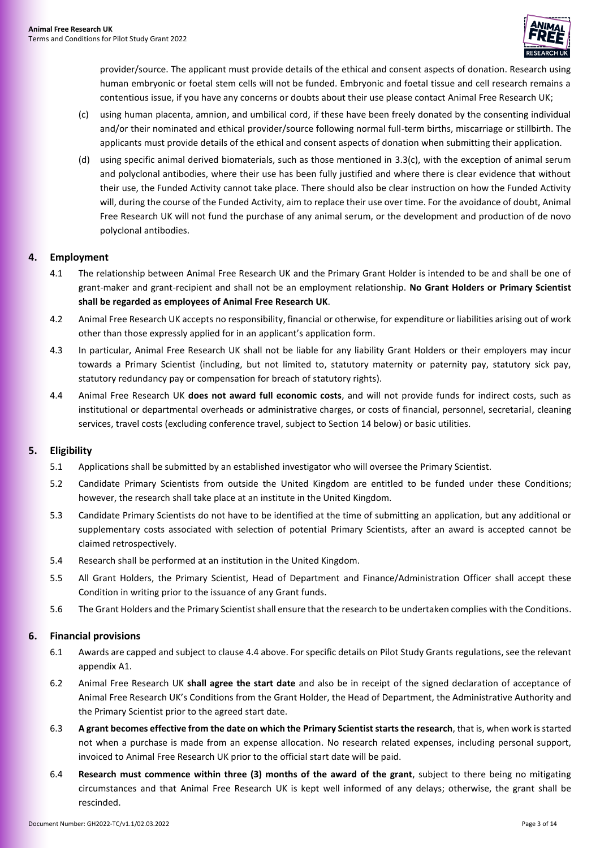

provider/source. The applicant must provide details of the ethical and consent aspects of donation. Research using human embryonic or foetal stem cells will not be funded. Embryonic and foetal tissue and cell research remains a contentious issue, if you have any concerns or doubts about their use please contact Animal Free Research UK;

- <span id="page-2-4"></span>(c) using human placenta, amnion, and umbilical cord, if these have been freely donated by the consenting individual and/or their nominated and ethical provider/source following normal full-term births, miscarriage or stillbirth. The applicants must provide details of the ethical and consent aspects of donation when submitting their application.
- <span id="page-2-3"></span>(d) using specific animal derived biomaterials, such as those mentioned in [3.3\(c\),](#page-1-3) with the exception of animal serum and polyclonal antibodies, where their use has been fully justified and where there is clear evidence that without their use, the Funded Activity cannot take place. There should also be clear instruction on how the Funded Activity will, during the course of the Funded Activity, aim to replace their use over time. For the avoidance of doubt, Animal Free Research UK will not fund the purchase of any animal serum, or the development and production of de novo polyclonal antibodies.

#### <span id="page-2-0"></span>**4. Employment**

- 4.1 The relationship between Animal Free Research UK and the Primary Grant Holder is intended to be and shall be one of grant-maker and grant-recipient and shall not be an employment relationship. **No Grant Holders or Primary Scientist shall be regarded as employees of Animal Free Research UK**.
- 4.2 Animal Free Research UK accepts no responsibility, financial or otherwise, for expenditure or liabilities arising out of work other than those expressly applied for in an applicant's application form.
- 4.3 In particular, Animal Free Research UK shall not be liable for any liability Grant Holders or their employers may incur towards a Primary Scientist (including, but not limited to, statutory maternity or paternity pay, statutory sick pay, statutory redundancy pay or compensation for breach of statutory rights).
- <span id="page-2-5"></span>4.4 Animal Free Research UK **does not award full economic costs**, and will not provide funds for indirect costs, such as institutional or departmental overheads or administrative charges, or costs of financial, personnel, secretarial, cleaning services, travel costs (excluding conference travel, subject to Section [14 below\)](#page-11-0) or basic utilities.

#### <span id="page-2-1"></span>**5. Eligibility**

- 5.1 Applications shall be submitted by an established investigator who will oversee the Primary Scientist.
- 5.2 Candidate Primary Scientists from outside the United Kingdom are entitled to be funded under these Conditions; however, the research shall take place at an institute in the United Kingdom.
- 5.3 Candidate Primary Scientists do not have to be identified at the time of submitting an application, but any additional or supplementary costs associated with selection of potential Primary Scientists, after an award is accepted cannot be claimed retrospectively.
- 5.4 Research shall be performed at an institution in the United Kingdom.
- 5.5 All Grant Holders, the Primary Scientist, Head of Department and Finance/Administration Officer shall accept these Condition in writing prior to the issuance of any Grant funds.
- 5.6 The Grant Holders and the Primary Scientist shall ensure that the research to be undertaken complies with the Conditions.

#### <span id="page-2-2"></span>**6. Financial provisions**

- 6.1 Awards are capped and subject to claus[e 4.4 above.](#page-2-5) For specific details on Pilot Study Grants regulations, see the relevant appendix [A1.](#page-12-0)
- 6.2 Animal Free Research UK **shall agree the start date** and also be in receipt of the signed declaration of acceptance of Animal Free Research UK's Conditions from the Grant Holder, the Head of Department, the Administrative Authority and the Primary Scientist prior to the agreed start date.
- 6.3 **A grant becomes effective from the date on which the Primary Scientist starts the research**, that is, when work is started not when a purchase is made from an expense allocation. No research related expenses, including personal support, invoiced to Animal Free Research UK prior to the official start date will be paid.
- 6.4 **Research must commence within three (3) months of the award of the grant**, subject to there being no mitigating circumstances and that Animal Free Research UK is kept well informed of any delays; otherwise, the grant shall be rescinded.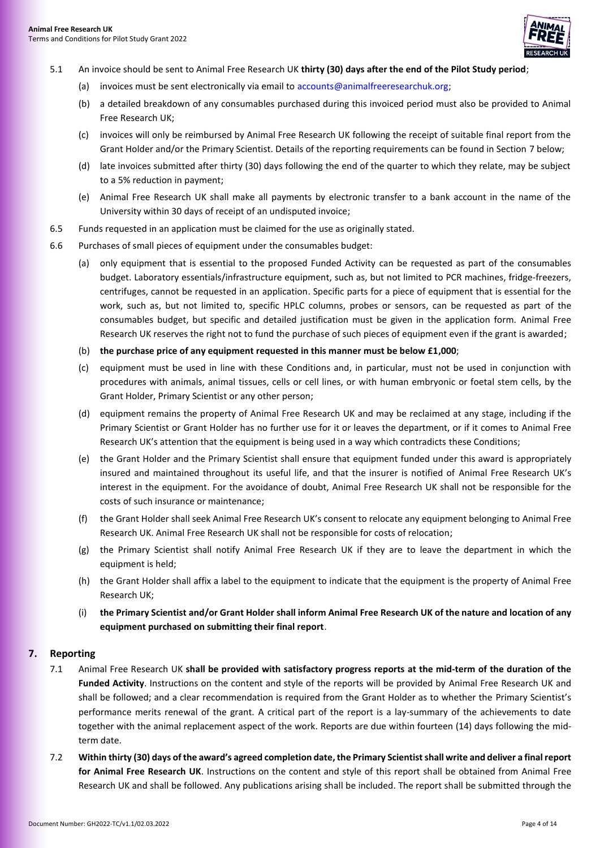

- 5.1 An invoice should be sent to Animal Free Research UK **thirty (30) days after the end of the Pilot Study period**;
	- (a) invoices must be sent electronically via email to [accounts@animalfreeresearchuk.org;](mailto:accounts@animalfreeresearchuk.org)
	- (b) a detailed breakdown of any consumables purchased during this invoiced period must also be provided to Animal Free Research UK;
	- (c) invoices will only be reimbursed by Animal Free Research UK following the receipt of suitable final report from the Grant Holder and/or the Primary Scientist. Details of the reporting requirements can be found in Section [7](#page-3-0) below;
	- (d) late invoices submitted after thirty (30) days following the end of the quarter to which they relate, may be subject to a 5% reduction in payment;
	- (e) Animal Free Research UK shall make all payments by electronic transfer to a bank account in the name of the University within 30 days of receipt of an undisputed invoice;
- 6.5 Funds requested in an application must be claimed for the use as originally stated.
- 6.6 Purchases of small pieces of equipment under the consumables budget:
	- (a) only equipment that is essential to the proposed Funded Activity can be requested as part of the consumables budget. Laboratory essentials/infrastructure equipment, such as, but not limited to PCR machines, fridge-freezers, centrifuges, cannot be requested in an application. Specific parts for a piece of equipment that is essential for the work, such as, but not limited to, specific HPLC columns, probes or sensors, can be requested as part of the consumables budget, but specific and detailed justification must be given in the application form. Animal Free Research UK reserves the right not to fund the purchase of such pieces of equipment even if the grant is awarded;
	- (b) **the purchase price of any equipment requested in this manner must be below £1,000**;
	- (c) equipment must be used in line with these Conditions and, in particular, must not be used in conjunction with procedures with animals, animal tissues, cells or cell lines, or with human embryonic or foetal stem cells, by the Grant Holder, Primary Scientist or any other person;
	- (d) equipment remains the property of Animal Free Research UK and may be reclaimed at any stage, including if the Primary Scientist or Grant Holder has no further use for it or leaves the department, or if it comes to Animal Free Research UK's attention that the equipment is being used in a way which contradicts these Conditions;
	- (e) the Grant Holder and the Primary Scientist shall ensure that equipment funded under this award is appropriately insured and maintained throughout its useful life, and that the insurer is notified of Animal Free Research UK's interest in the equipment. For the avoidance of doubt, Animal Free Research UK shall not be responsible for the costs of such insurance or maintenance;
	- (f) the Grant Holder shall seek Animal Free Research UK's consent to relocate any equipment belonging to Animal Free Research UK. Animal Free Research UK shall not be responsible for costs of relocation;
	- the Primary Scientist shall notify Animal Free Research UK if they are to leave the department in which the equipment is held;
	- (h) the Grant Holder shall affix a label to the equipment to indicate that the equipment is the property of Animal Free Research UK;
	- (i) **the Primary Scientist and/or Grant Holder shall inform Animal Free Research UK of the nature and location of any equipment purchased on submitting their final report**.

#### <span id="page-3-1"></span><span id="page-3-0"></span>**7. Reporting**

- 7.1 Animal Free Research UK **shall be provided with satisfactory progress reports at the mid-term of the duration of the Funded Activity**. Instructions on the content and style of the reports will be provided by Animal Free Research UK and shall be followed; and a clear recommendation is required from the Grant Holder as to whether the Primary Scientist's performance merits renewal of the grant. A critical part of the report is a lay-summary of the achievements to date together with the animal replacement aspect of the work. Reports are due within fourteen (14) days following the midterm date.
- 7.2 **Within thirty (30) days of the award's agreed completion date, the Primary Scientistshall write and deliver a final report for Animal Free Research UK**. Instructions on the content and style of this report shall be obtained from Animal Free Research UK and shall be followed. Any publications arising shall be included. The report shall be submitted through the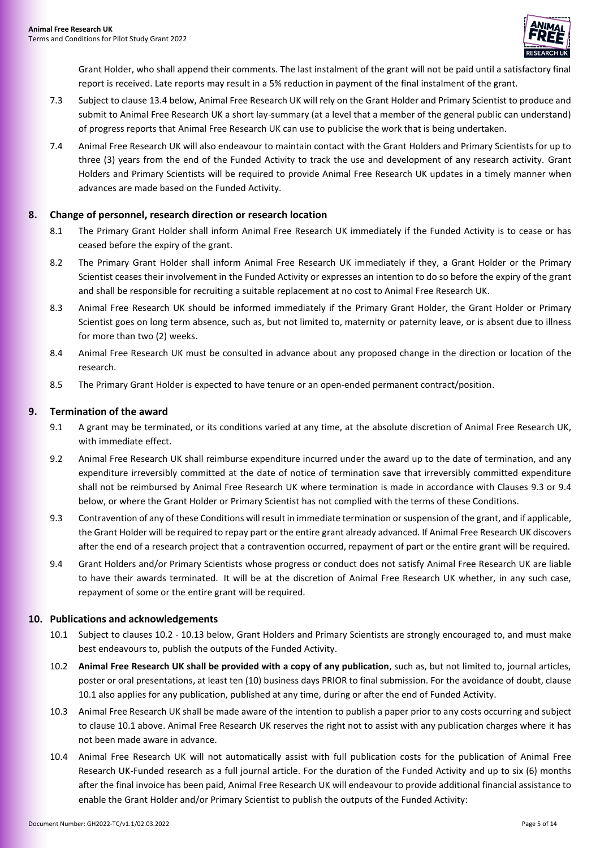

Grant Holder, who shall append their comments. The last instalment of the grant will not be paid until a satisfactory final report is received. Late reports may result in a 5% reduction in payment of the final instalment of the grant.

- 7.3 Subject to clause 13.4 below, Animal Free Research UK will rely on the Grant Holder and Primary Scientist to produce and submit to Animal Free Research UK a short lay-summary (at a level that a member of the general public can understand) of progress reports that Animal Free Research UK can use to publicise the work that is being undertaken.
- 7.4 Animal Free Research UK will also endeavour to maintain contact with the Grant Holders and Primary Scientists for up to three (3) years from the end of the Funded Activity to track the use and development of any research activity. Grant Holders and Primary Scientists will be required to provide Animal Free Research UK updates in a timely manner when advances are made based on the Funded Activity.

#### <span id="page-4-0"></span>**8. Change of personnel, research direction or research location**

- 8.1 The Primary Grant Holder shall inform Animal Free Research UK immediately if the Funded Activity is to cease or has ceased before the expiry of the grant.
- 8.2 The Primary Grant Holder shall inform Animal Free Research UK immediately if they, a Grant Holder or the Primary Scientist ceases their involvement in the Funded Activity or expresses an intention to do so before the expiry of the grant and shall be responsible for recruiting a suitable replacement at no cost to Animal Free Research UK.
- 8.3 Animal Free Research UK should be informed immediately if the Primary Grant Holder, the Grant Holder or Primary Scientist goes on long term absence, such as, but not limited to, maternity or paternity leave, or is absent due to illness for more than two (2) weeks.
- 8.4 Animal Free Research UK must be consulted in advance about any proposed change in the direction or location of the research.
- 8.5 The Primary Grant Holder is expected to have tenure or an open-ended permanent contract/position.

# <span id="page-4-1"></span>**9. Termination of the award**

- 9.1 A grant may be terminated, or its conditions varied at any time, at the absolute discretion of Animal Free Research UK, with immediate effect.
- 9.2 Animal Free Research UK shall reimburse expenditure incurred under the award up to the date of termination, and any expenditure irreversibly committed at the date of notice of termination save that irreversibly committed expenditure shall not be reimbursed by Animal Free Research UK where termination is made in accordance with Clauses [9.3](#page-4-3) or [9.4](#page-4-4)  [below,](#page-4-4) or where the Grant Holder or Primary Scientist has not complied with the terms of these Conditions.
- <span id="page-4-3"></span>9.3 Contravention of any of these Conditions will result in immediate termination or suspension of the grant, and if applicable, the Grant Holder will be required to repay part or the entire grant already advanced. If Animal Free Research UK discovers after the end of a research project that a contravention occurred, repayment of part or the entire grant will be required.
- <span id="page-4-4"></span>9.4 Grant Holders and/or Primary Scientists whose progress or conduct does not satisfy Animal Free Research UK are liable to have their awards terminated. It will be at the discretion of Animal Free Research UK whether, in any such case, repayment of some or the entire grant will be required.

#### <span id="page-4-2"></span>**10. Publications and acknowledgements**

- <span id="page-4-6"></span>10.1 Subject to clauses [10.2](#page-4-5) - [10.13 below,](#page-5-1) Grant Holders and Primary Scientists are strongly encouraged to, and must make best endeavours to, publish the outputs of the Funded Activity.
- <span id="page-4-5"></span>10.2 **Animal Free Research UK shall be provided with a copy of any publication**, such as, but not limited to, journal articles, poster or oral presentations, at least ten (10) business days PRIOR to final submission. For the avoidance of doubt, clause [10.1](#page-4-6) also applies for any publication, published at any time, during or after the end of Funded Activity.
- <span id="page-4-7"></span>10.3 Animal Free Research UK shall be made aware of the intention to publish a paper prior to any costs occurring and subject to clause [10.1 above.](#page-4-6) Animal Free Research UK reserves the right not to assist with any publication charges where it has not been made aware in advance.
- 10.4 Animal Free Research UK will not automatically assist with full publication costs for the publication of Animal Free Research UK-Funded research as a full journal article. For the duration of the Funded Activity and up to six (6) months after the final invoice has been paid, Animal Free Research UK will endeavour to provide additional financial assistance to enable the Grant Holder and/or Primary Scientist to publish the outputs of the Funded Activity: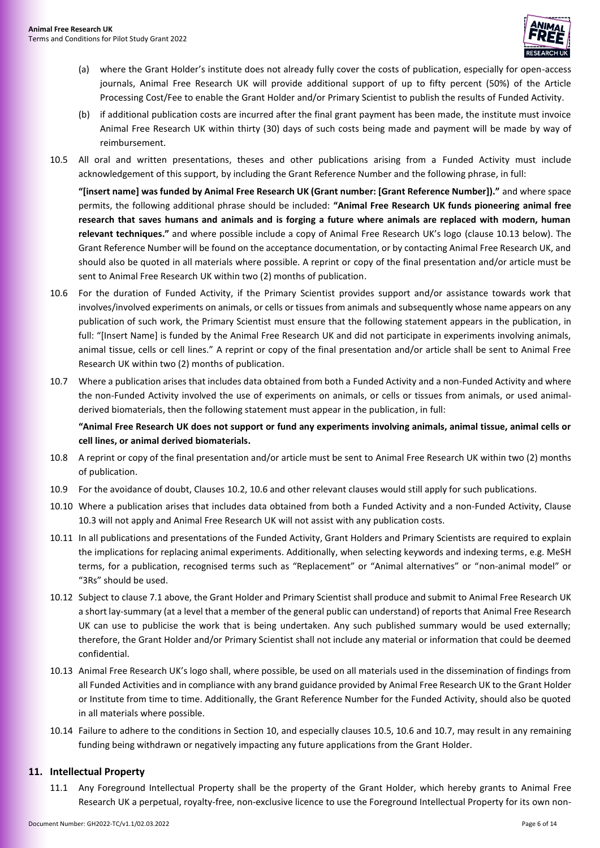

- (a) where the Grant Holder's institute does not already fully cover the costs of publication, especially for open-access journals, Animal Free Research UK will provide additional support of up to fifty percent (50%) of the Article Processing Cost/Fee to enable the Grant Holder and/or Primary Scientist to publish the results of Funded Activity.
- (b) if additional publication costs are incurred after the final grant payment has been made, the institute must invoice Animal Free Research UK within thirty (30) days of such costs being made and payment will be made by way of reimbursement.
- <span id="page-5-3"></span>10.5 All oral and written presentations, theses and other publications arising from a Funded Activity must include acknowledgement of this support, by including the Grant Reference Number and the following phrase, in full:

**"[insert name] was funded by Animal Free Research UK (Grant number: [Grant Reference Number])."** and where space permits, the following additional phrase should be included: **"Animal Free Research UK funds pioneering animal free research that saves humans and animals and is forging a future where animals are replaced with modern, human relevant techniques."** and where possible include a copy of Animal Free Research UK's logo (clause [10.13](#page-5-1) below). The Grant Reference Number will be found on the acceptance documentation, or by contacting Animal Free Research UK, and should also be quoted in all materials where possible. A reprint or copy of the final presentation and/or article must be sent to Animal Free Research UK within two (2) months of publication.

- <span id="page-5-2"></span>10.6 For the duration of Funded Activity, if the Primary Scientist provides support and/or assistance towards work that involves/involved experiments on animals, or cells or tissues from animals and subsequently whose name appears on any publication of such work, the Primary Scientist must ensure that the following statement appears in the publication, in full: "[Insert Name] is funded by the Animal Free Research UK and did not participate in experiments involving animals, animal tissue, cells or cell lines." A reprint or copy of the final presentation and/or article shall be sent to Animal Free Research UK within two (2) months of publication.
- <span id="page-5-4"></span>10.7 Where a publication arises that includes data obtained from both a Funded Activity and a non-Funded Activity and where the non-Funded Activity involved the use of experiments on animals, or cells or tissues from animals, or used animalderived biomaterials, then the following statement must appear in the publication, in full:

**"Animal Free Research UK does not support or fund any experiments involving animals, animal tissue, animal cells or cell lines, or animal derived biomaterials.**

- 10.8 A reprint or copy of the final presentation and/or article must be sent to Animal Free Research UK within two (2) months of publication.
- 10.9 For the avoidance of doubt, Clauses [10.2,](#page-4-5) [10.6](#page-5-2) and other relevant clauses would still apply for such publications.
- 10.10 Where a publication arises that includes data obtained from both a Funded Activity and a non-Funded Activity, Clause [10.3](#page-4-7) will not apply and Animal Free Research UK will not assist with any publication costs.
- 10.11 In all publications and presentations of the Funded Activity, Grant Holders and Primary Scientists are required to explain the implications for replacing animal experiments. Additionally, when selecting keywords and indexing terms, e.g. MeSH terms, for a publication, recognised terms such as "Replacement" or "Animal alternatives" or "non-animal model" or "3Rs" should be used.
- 10.12 Subject to claus[e 7.1 above,](#page-3-1) the Grant Holder and Primary Scientist shall produce and submit to Animal Free Research UK a short lay-summary (at a level that a member of the general public can understand) of reports that Animal Free Research UK can use to publicise the work that is being undertaken. Any such published summary would be used externally; therefore, the Grant Holder and/or Primary Scientist shall not include any material or information that could be deemed confidential.
- <span id="page-5-1"></span>10.13 Animal Free Research UK's logo shall, where possible, be used on all materials used in the dissemination of findings from all Funded Activities and in compliance with any brand guidance provided by Animal Free Research UK to the Grant Holder or Institute from time to time. Additionally, the Grant Reference Number for the Funded Activity, should also be quoted in all materials where possible.
- 10.14 Failure to adhere to the conditions in Section [10,](#page-4-2) and especially clause[s 10.5,](#page-5-3) [10.6](#page-5-2) and [10.7,](#page-5-4) may result in any remaining funding being withdrawn or negatively impacting any future applications from the Grant Holder.

#### <span id="page-5-5"></span><span id="page-5-0"></span>**11. Intellectual Property**

11.1 Any Foreground Intellectual Property shall be the property of the Grant Holder, which hereby grants to Animal Free Research UK a perpetual, royalty-free, non-exclusive licence to use the Foreground Intellectual Property for its own non-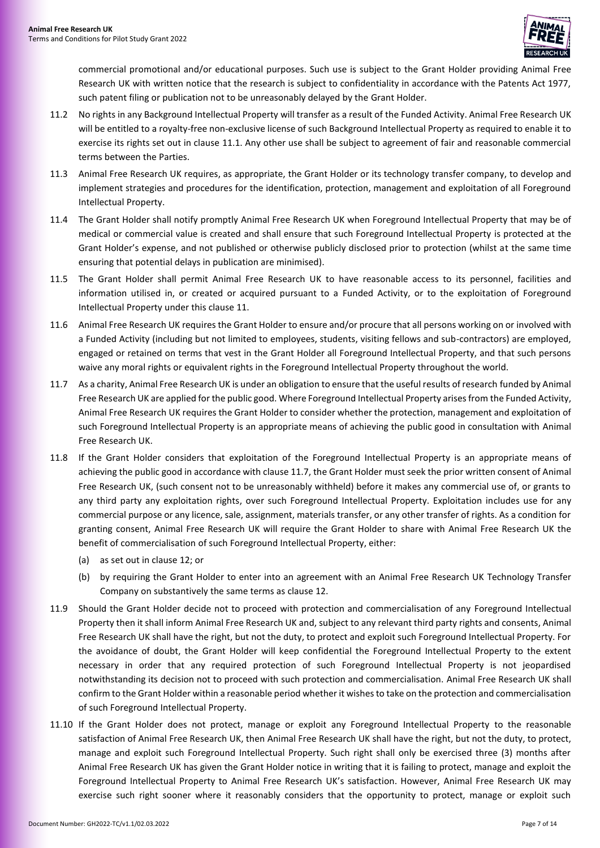

commercial promotional and/or educational purposes. Such use is subject to the Grant Holder providing Animal Free Research UK with written notice that the research is subject to confidentiality in accordance with the Patents Act 1977, such patent filing or publication not to be unreasonably delayed by the Grant Holder.

- 11.2 No rights in any Background Intellectual Property will transfer as a result of the Funded Activity. Animal Free Research UK will be entitled to a royalty-free non-exclusive license of such Background Intellectual Property as required to enable it to exercise its rights set out in clause [11.1.](#page-5-5) Any other use shall be subject to agreement of fair and reasonable commercial terms between the Parties.
- 11.3 Animal Free Research UK requires, as appropriate, the Grant Holder or its technology transfer company, to develop and implement strategies and procedures for the identification, protection, management and exploitation of all Foreground Intellectual Property.
- 11.4 The Grant Holder shall notify promptly Animal Free Research UK when Foreground Intellectual Property that may be of medical or commercial value is created and shall ensure that such Foreground Intellectual Property is protected at the Grant Holder's expense, and not published or otherwise publicly disclosed prior to protection (whilst at the same time ensuring that potential delays in publication are minimised).
- 11.5 The Grant Holder shall permit Animal Free Research UK to have reasonable access to its personnel, facilities and information utilised in, or created or acquired pursuant to a Funded Activity, or to the exploitation of Foreground Intellectual Property under this clause [11.](#page-5-0)
- 11.6 Animal Free Research UK requires the Grant Holder to ensure and/or procure that all persons working on or involved with a Funded Activity (including but not limited to employees, students, visiting fellows and sub-contractors) are employed, engaged or retained on terms that vest in the Grant Holder all Foreground Intellectual Property, and that such persons waive any moral rights or equivalent rights in the Foreground Intellectual Property throughout the world.
- <span id="page-6-0"></span>11.7 As a charity, Animal Free Research UK is under an obligation to ensure that the useful results of research funded by Animal Free Research UK are applied for the public good. Where Foreground Intellectual Property arises from the Funded Activity, Animal Free Research UK requires the Grant Holder to consider whether the protection, management and exploitation of such Foreground Intellectual Property is an appropriate means of achieving the public good in consultation with Animal Free Research UK.
- 11.8 If the Grant Holder considers that exploitation of the Foreground Intellectual Property is an appropriate means of achieving the public good in accordance with clause [11.7,](#page-6-0) the Grant Holder must seek the prior written consent of Animal Free Research UK, (such consent not to be unreasonably withheld) before it makes any commercial use of, or grants to any third party any exploitation rights, over such Foreground Intellectual Property. Exploitation includes use for any commercial purpose or any licence, sale, assignment, materials transfer, or any other transfer of rights. As a condition for granting consent, Animal Free Research UK will require the Grant Holder to share with Animal Free Research UK the benefit of commercialisation of such Foreground Intellectual Property, either:
	- (a) as set out in claus[e 12;](#page-7-0) or
	- (b) by requiring the Grant Holder to enter into an agreement with an Animal Free Research UK Technology Transfer Company on substantively the same terms as clause [12.](#page-7-0)
- <span id="page-6-1"></span>11.9 Should the Grant Holder decide not to proceed with protection and commercialisation of any Foreground Intellectual Property then it shall inform Animal Free Research UK and, subject to any relevant third party rights and consents, Animal Free Research UK shall have the right, but not the duty, to protect and exploit such Foreground Intellectual Property. For the avoidance of doubt, the Grant Holder will keep confidential the Foreground Intellectual Property to the extent necessary in order that any required protection of such Foreground Intellectual Property is not jeopardised notwithstanding its decision not to proceed with such protection and commercialisation. Animal Free Research UK shall confirm to the Grant Holder within a reasonable period whether it wishes to take on the protection and commercialisation of such Foreground Intellectual Property.
- <span id="page-6-2"></span>11.10 If the Grant Holder does not protect, manage or exploit any Foreground Intellectual Property to the reasonable satisfaction of Animal Free Research UK, then Animal Free Research UK shall have the right, but not the duty, to protect, manage and exploit such Foreground Intellectual Property. Such right shall only be exercised three (3) months after Animal Free Research UK has given the Grant Holder notice in writing that it is failing to protect, manage and exploit the Foreground Intellectual Property to Animal Free Research UK's satisfaction. However, Animal Free Research UK may exercise such right sooner where it reasonably considers that the opportunity to protect, manage or exploit such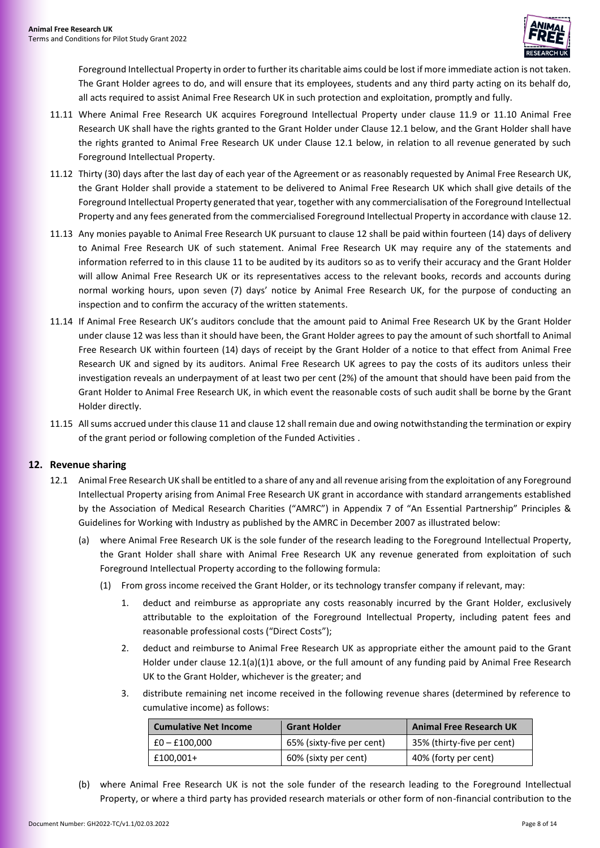

Foreground Intellectual Property in order to further its charitable aims could be lost if more immediate action is not taken. The Grant Holder agrees to do, and will ensure that its employees, students and any third party acting on its behalf do, all acts required to assist Animal Free Research UK in such protection and exploitation, promptly and fully.

- 11.11 Where Animal Free Research UK acquires Foreground Intellectual Property under clause [11.9](#page-6-1) or [11.10](#page-6-2) Animal Free Research UK shall have the rights granted to the Grant Holder under Claus[e 12.1](#page-7-1) below, and the Grant Holder shall have the rights granted to Animal Free Research UK under Clause [12.1](#page-7-1) below, in relation to all revenue generated by such Foreground Intellectual Property.
- 11.12 Thirty (30) days after the last day of each year of the Agreement or as reasonably requested by Animal Free Research UK, the Grant Holder shall provide a statement to be delivered to Animal Free Research UK which shall give details of the Foreground Intellectual Property generated that year, together with any commercialisation of the Foreground Intellectual Property and any fees generated from the commercialised Foreground Intellectual Property in accordance with clause 12.
- 11.13 Any monies payable to Animal Free Research UK pursuant to clause [12](#page-7-0) shall be paid within fourteen (14) days of delivery to Animal Free Research UK of such statement. Animal Free Research UK may require any of the statements and information referred to in this clause [11](#page-5-0) to be audited by its auditors so as to verify their accuracy and the Grant Holder will allow Animal Free Research UK or its representatives access to the relevant books, records and accounts during normal working hours, upon seven (7) days' notice by Animal Free Research UK, for the purpose of conducting an inspection and to confirm the accuracy of the written statements.
- 11.14 If Animal Free Research UK's auditors conclude that the amount paid to Animal Free Research UK by the Grant Holder under clause [12](#page-7-0) was less than it should have been, the Grant Holder agrees to pay the amount of such shortfall to Animal Free Research UK within fourteen (14) days of receipt by the Grant Holder of a notice to that effect from Animal Free Research UK and signed by its auditors. Animal Free Research UK agrees to pay the costs of its auditors unless their investigation reveals an underpayment of at least two per cent (2%) of the amount that should have been paid from the Grant Holder to Animal Free Research UK, in which event the reasonable costs of such audit shall be borne by the Grant Holder directly.
- 11.15 All sums accrued under this claus[e 11](#page-5-0) and claus[e 12](#page-7-0) shall remain due and owing notwithstanding the termination or expiry of the grant period or following completion of the Funded Activities .

#### <span id="page-7-1"></span><span id="page-7-0"></span>**12. Revenue sharing**

- <span id="page-7-3"></span><span id="page-7-2"></span>12.1 Animal Free Research UK shall be entitled to a share of any and all revenue arising from the exploitation of any Foreground Intellectual Property arising from Animal Free Research UK grant in accordance with standard arrangements established by the Association of Medical Research Charities ("AMRC") in Appendix 7 of "An Essential Partnership" Principles & Guidelines for Working with Industry as published by the AMRC in December 2007 as illustrated below:
	- (a) where Animal Free Research UK is the sole funder of the research leading to the Foreground Intellectual Property, the Grant Holder shall share with Animal Free Research UK any revenue generated from exploitation of such Foreground Intellectual Property according to the following formula:
		- (1) From gross income received the Grant Holder, or its technology transfer company if relevant, may:
			- 1. deduct and reimburse as appropriate any costs reasonably incurred by the Grant Holder, exclusively attributable to the exploitation of the Foreground Intellectual Property, including patent fees and reasonable professional costs ("Direct Costs");
			- 2. deduct and reimburse to Animal Free Research UK as appropriate either the amount paid to the Grant Holder under clause [12.1\(a\)\(1\)1](#page-7-2) above, or the full amount of any funding paid by Animal Free Research UK to the Grant Holder, whichever is the greater; and
			- 3. distribute remaining net income received in the following revenue shares (determined by reference to cumulative income) as follows:

| <b>Cumulative Net Income</b> | <b>Grant Holder</b>       | <b>Animal Free Research UK</b> |
|------------------------------|---------------------------|--------------------------------|
| $E0 - E100,000$              | 65% (sixty-five per cent) | 35% (thirty-five per cent)     |
| £100.001+                    | 60% (sixty per cent)      | 40% (forty per cent)           |

<span id="page-7-4"></span>(b) where Animal Free Research UK is not the sole funder of the research leading to the Foreground Intellectual Property, or where a third party has provided research materials or other form of non-financial contribution to the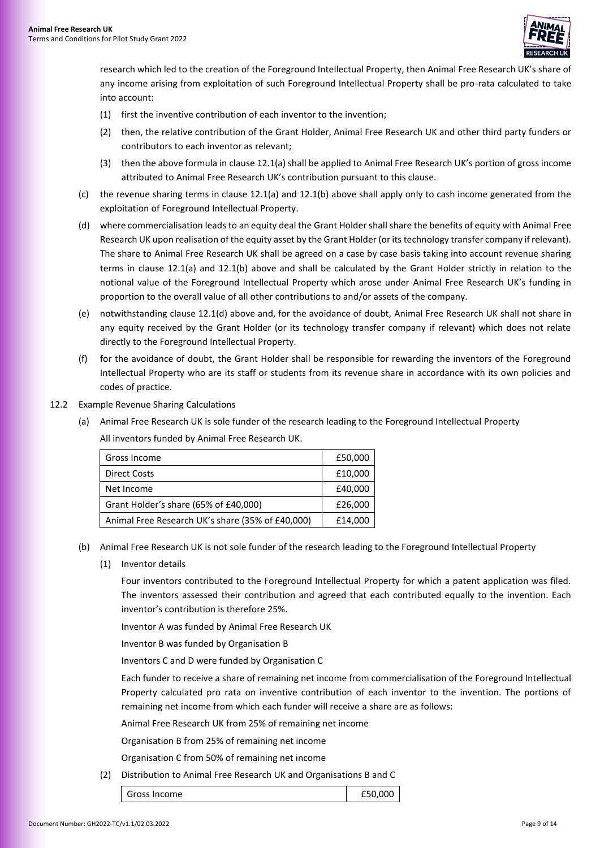

research which led to the creation of the Foreground Intellectual Property, then Animal Free Research UK's share of any income arising from exploitation of such Foreground Intellectual Property shall be pro-rata calculated to take into account:

- (1) first the inventive contribution of each inventor to the invention;
- (2) then, the relative contribution of the Grant Holder, Animal Free Research UK and other third party funders or contributors to each inventor as relevant;
- (3) then the above formula in clause [12.1\(a\)](#page-7-3) shall be applied to Animal Free Research UK's portion of gross income attributed to Animal Free Research UK's contribution pursuant to this clause.
- (c) the revenue sharing terms in clause [12.1\(a\)](#page-7-3) and [12.1\(b\)](#page-7-4) above shall apply only to cash income generated from the exploitation of Foreground Intellectual Property.
- <span id="page-8-0"></span>(d) where commercialisation leads to an equity deal the Grant Holder shall share the benefits of equity with Animal Free Research UK upon realisation of the equity asset by the Grant Holder (or its technology transfer company if relevant). The share to Animal Free Research UK shall be agreed on a case by case basis taking into account revenue sharing terms in clause [12.1\(a\)](#page-7-3) and [12.1\(b\)](#page-7-4) above and shall be calculated by the Grant Holder strictly in relation to the notional value of the Foreground Intellectual Property which arose under Animal Free Research UK's funding in proportion to the overall value of all other contributions to and/or assets of the company.
- (e) notwithstanding claus[e 12.1\(d\)](#page-8-0) above and, for the avoidance of doubt, Animal Free Research UK shall not share in any equity received by the Grant Holder (or its technology transfer company if relevant) which does not relate directly to the Foreground Intellectual Property.
- (f) for the avoidance of doubt, the Grant Holder shall be responsible for rewarding the inventors of the Foreground Intellectual Property who are its staff or students from its revenue share in accordance with its own policies and codes of practice.
- 12.2 Example Revenue Sharing Calculations
	- (a) Animal Free Research UK is sole funder of the research leading to the Foreground Intellectual Property

All inventors funded by Animal Free Research UK.

| Gross Income                                     | £50,000 |
|--------------------------------------------------|---------|
| <b>Direct Costs</b>                              | £10,000 |
| Net Income                                       | £40,000 |
| Grant Holder's share (65% of £40,000)            | £26,000 |
| Animal Free Research UK's share (35% of £40,000) | £14,000 |

- (b) Animal Free Research UK is not sole funder of the research leading to the Foreground Intellectual Property
	- (1) Inventor details

Four inventors contributed to the Foreground Intellectual Property for which a patent application was filed. The inventors assessed their contribution and agreed that each contributed equally to the invention. Each inventor's contribution is therefore 25%.

Inventor A was funded by Animal Free Research UK

Inventor B was funded by Organisation B

Inventors C and D were funded by Organisation C

Each funder to receive a share of remaining net income from commercialisation of the Foreground Intellectual Property calculated pro rata on inventive contribution of each inventor to the invention. The portions of remaining net income from which each funder will receive a share are as follows:

Animal Free Research UK from 25% of remaining net income

Organisation B from 25% of remaining net income

Organisation C from 50% of remaining net income

(2) Distribution to Animal Free Research UK and Organisations B and C

| Gross Income | £50,000 |  |
|--------------|---------|--|
|              |         |  |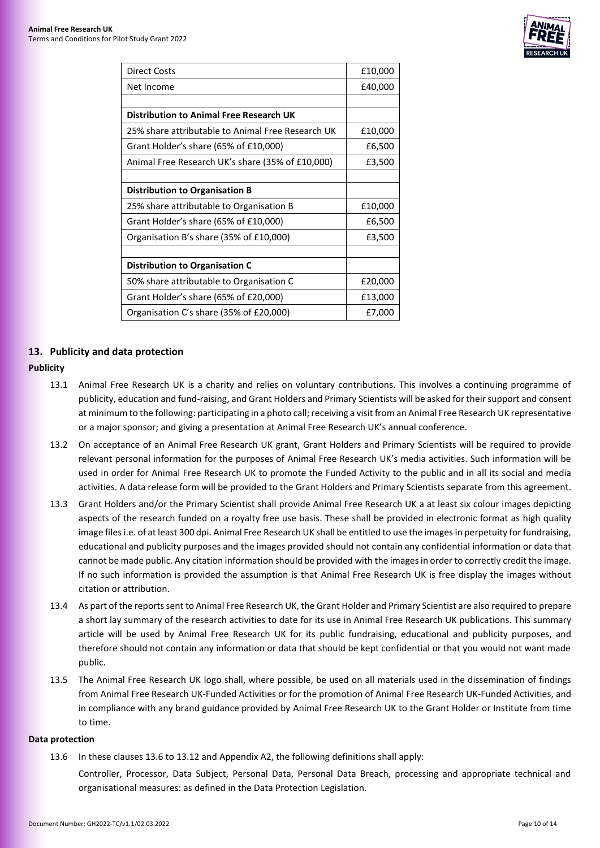

| <b>Direct Costs</b>                               | £10,000 |
|---------------------------------------------------|---------|
| Net Income                                        | £40,000 |
|                                                   |         |
| <b>Distribution to Animal Free Research UK</b>    |         |
| 25% share attributable to Animal Free Research UK | £10,000 |
| Grant Holder's share (65% of £10,000)             | £6,500  |
| Animal Free Research UK's share (35% of £10,000)  | £3,500  |
|                                                   |         |
| <b>Distribution to Organisation B</b>             |         |
| 25% share attributable to Organisation B          | £10,000 |
| Grant Holder's share (65% of £10,000)             | £6,500  |
| Organisation B's share (35% of £10,000)           | £3,500  |
|                                                   |         |
| <b>Distribution to Organisation C</b>             |         |
| 50% share attributable to Organisation C          | £20,000 |
| Grant Holder's share (65% of £20,000)             | £13,000 |
| Organisation C's share (35% of £20,000)           | £7,000  |

# <span id="page-9-0"></span>**13. Publicity and data protection**

# **Publicity**

- 13.1 Animal Free Research UK is a charity and relies on voluntary contributions. This involves a continuing programme of publicity, education and fund-raising, and Grant Holders and Primary Scientists will be asked for their support and consent at minimum to the following: participating in a photo call; receiving a visit from an Animal Free Research UK representative or a major sponsor; and giving a presentation at Animal Free Research UK's annual conference.
- 13.2 On acceptance of an Animal Free Research UK grant, Grant Holders and Primary Scientists will be required to provide relevant personal information for the purposes of Animal Free Research UK's media activities. Such information will be used in order for Animal Free Research UK to promote the Funded Activity to the public and in all its social and media activities. A data release form will be provided to the Grant Holders and Primary Scientists separate from this agreement.
- 13.3 Grant Holders and/or the Primary Scientist shall provide Animal Free Research UK a at least six colour images depicting aspects of the research funded on a royalty free use basis. These shall be provided in electronic format as high quality image files i.e. of at least 300 dpi. Animal Free Research UK shall be entitled to use the images in perpetuity for fundraising, educational and publicity purposes and the images provided should not contain any confidential information or data that cannot be made public. Any citation information should be provided with the images in order to correctly credit the image. If no such information is provided the assumption is that Animal Free Research UK is free display the images without citation or attribution.
- 13.4 As part of the reports sent to Animal Free Research UK, the Grant Holder and Primary Scientist are also required to prepare a short lay summary of the research activities to date for its use in Animal Free Research UK publications. This summary article will be used by Animal Free Research UK for its public fundraising, educational and publicity purposes, and therefore should not contain any information or data that should be kept confidential or that you would not want made public.
- 13.5 The Animal Free Research UK logo shall, where possible, be used on all materials used in the dissemination of findings from Animal Free Research UK-Funded Activities or for the promotion of Animal Free Research UK-Funded Activities, and in compliance with any brand guidance provided by Animal Free Research UK to the Grant Holder or Institute from time to time.

#### <span id="page-9-1"></span>**Data protection**

13.6 In these clauses [13.6](#page-9-1) to [13.12](#page-11-2) and Appendi[x A2,](#page-12-1) the following definitions shall apply:

Controller, Processor, Data Subject, Personal Data, Personal Data Breach, processing and appropriate technical and organisational measures: as defined in the Data Protection Legislation.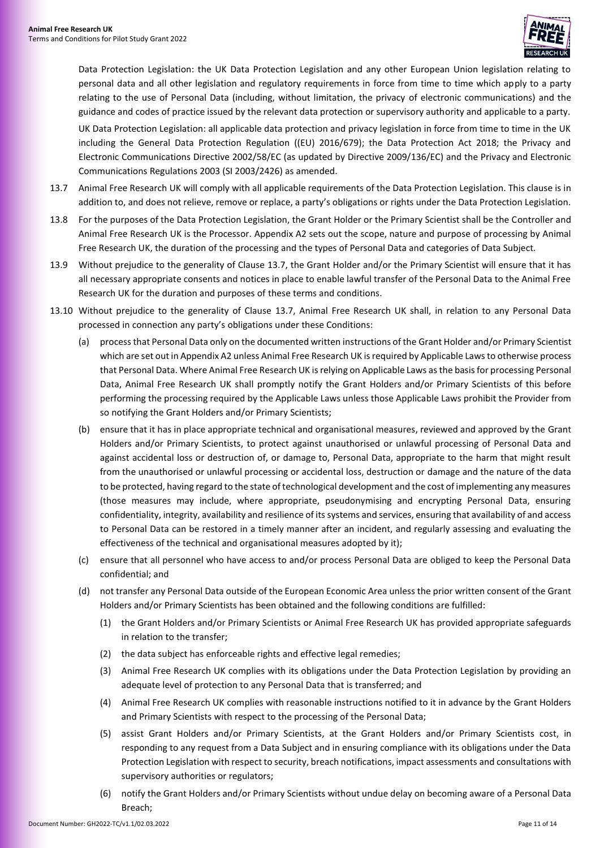

Data Protection Legislation: the UK Data Protection Legislation and any other European Union legislation relating to personal data and all other legislation and regulatory requirements in force from time to time which apply to a party relating to the use of Personal Data (including, without limitation, the privacy of electronic communications) and the guidance and codes of practice issued by the relevant data protection or supervisory authority and applicable to a party.

UK Data Protection Legislation: all applicable data protection and privacy legislation in force from time to time in the UK including the General Data Protection Regulation ((EU) 2016/679); the Data Protection Act 2018; the Privacy and Electronic Communications Directive 2002/58/EC (as updated by Directive 2009/136/EC) and the Privacy and Electronic Communications Regulations 2003 (SI 2003/2426) as amended.

- <span id="page-10-0"></span>13.7 Animal Free Research UK will comply with all applicable requirements of the Data Protection Legislation. This clause is in addition to, and does not relieve, remove or replace, a party's obligations or rights under the Data Protection Legislation.
- 13.8 For the purposes of the Data Protection Legislation, the Grant Holder or the Primary Scientist shall be the Controller and Animal Free Research UK is the Processor. Appendix [A2](#page-12-1) sets out the scope, nature and purpose of processing by Animal Free Research UK, the duration of the processing and the types of Personal Data and categories of Data Subject.
- 13.9 Without prejudice to the generality of Clause [13.7,](#page-10-0) the Grant Holder and/or the Primary Scientist will ensure that it has all necessary appropriate consents and notices in place to enable lawful transfer of the Personal Data to the Animal Free Research UK for the duration and purposes of these terms and conditions.
- 13.10 Without prejudice to the generality of Clause [13.7,](#page-10-0) Animal Free Research UK shall, in relation to any Personal Data processed in connection any party's obligations under these Conditions:
	- (a) process that Personal Data only on the documented written instructions of the Grant Holder and/or Primary Scientist which are set out in Appendi[x A2](#page-12-1) unless Animal Free Research UK is required by Applicable Laws to otherwise process that Personal Data. Where Animal Free Research UK is relying on Applicable Laws as the basis for processing Personal Data, Animal Free Research UK shall promptly notify the Grant Holders and/or Primary Scientists of this before performing the processing required by the Applicable Laws unless those Applicable Laws prohibit the Provider from so notifying the Grant Holders and/or Primary Scientists;
	- (b) ensure that it has in place appropriate technical and organisational measures, reviewed and approved by the Grant Holders and/or Primary Scientists, to protect against unauthorised or unlawful processing of Personal Data and against accidental loss or destruction of, or damage to, Personal Data, appropriate to the harm that might result from the unauthorised or unlawful processing or accidental loss, destruction or damage and the nature of the data to be protected, having regard to the state of technological development and the cost of implementing any measures (those measures may include, where appropriate, pseudonymising and encrypting Personal Data, ensuring confidentiality, integrity, availability and resilience of its systems and services, ensuring that availability of and access to Personal Data can be restored in a timely manner after an incident, and regularly assessing and evaluating the effectiveness of the technical and organisational measures adopted by it);
	- (c) ensure that all personnel who have access to and/or process Personal Data are obliged to keep the Personal Data confidential; and
	- (d) not transfer any Personal Data outside of the European Economic Area unless the prior written consent of the Grant Holders and/or Primary Scientists has been obtained and the following conditions are fulfilled:
		- (1) the Grant Holders and/or Primary Scientists or Animal Free Research UK has provided appropriate safeguards in relation to the transfer;
		- (2) the data subject has enforceable rights and effective legal remedies;
		- (3) Animal Free Research UK complies with its obligations under the Data Protection Legislation by providing an adequate level of protection to any Personal Data that is transferred; and
		- (4) Animal Free Research UK complies with reasonable instructions notified to it in advance by the Grant Holders and Primary Scientists with respect to the processing of the Personal Data;
		- (5) assist Grant Holders and/or Primary Scientists, at the Grant Holders and/or Primary Scientists cost, in responding to any request from a Data Subject and in ensuring compliance with its obligations under the Data Protection Legislation with respect to security, breach notifications, impact assessments and consultations with supervisory authorities or regulators;
		- (6) notify the Grant Holders and/or Primary Scientists without undue delay on becoming aware of a Personal Data Breach;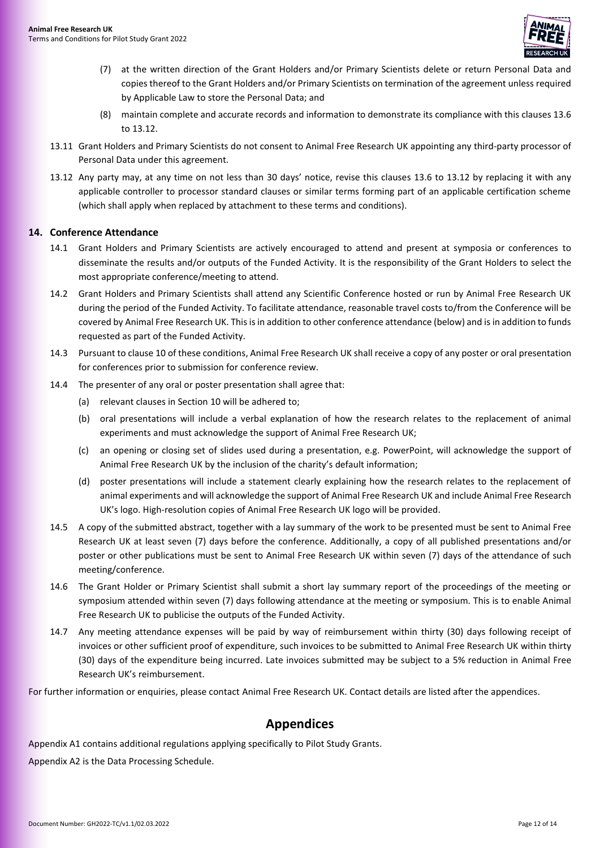

- (7) at the written direction of the Grant Holders and/or Primary Scientists delete or return Personal Data and copies thereof to the Grant Holders and/or Primary Scientists on termination of the agreement unless required by Applicable Law to store the Personal Data; and
- (8) maintain complete and accurate records and information to demonstrate its compliance with this clause[s 13.6](#page-9-1) t[o 13.12.](#page-11-2)
- 13.11 Grant Holders and Primary Scientists do not consent to Animal Free Research UK appointing any third-party processor of Personal Data under this agreement.
- <span id="page-11-2"></span>13.12 Any party may, at any time on not less than 30 days' notice, revise this clauses [13.6](#page-9-1) to [13.12](#page-11-2) by replacing it with any applicable controller to processor standard clauses or similar terms forming part of an applicable certification scheme (which shall apply when replaced by attachment to these terms and conditions).

#### <span id="page-11-0"></span>**14. Conference Attendance**

- 14.1 Grant Holders and Primary Scientists are actively encouraged to attend and present at symposia or conferences to disseminate the results and/or outputs of the Funded Activity. It is the responsibility of the Grant Holders to select the most appropriate conference/meeting to attend.
- 14.2 Grant Holders and Primary Scientists shall attend any Scientific Conference hosted or run by Animal Free Research UK during the period of the Funded Activity. To facilitate attendance, reasonable travel costs to/from the Conference will be covered by Animal Free Research UK. This is in addition to other conference attendance (below) and is in addition to funds requested as part of the Funded Activity.
- 14.3 Pursuant to claus[e 10](#page-4-2) of these conditions, Animal Free Research UK shall receive a copy of any poster or oral presentation for conferences prior to submission for conference review.
- 14.4 The presenter of any oral or poster presentation shall agree that:
	- (a) relevant clauses in Section [10](#page-4-2) will be adhered to;
	- (b) oral presentations will include a verbal explanation of how the research relates to the replacement of animal experiments and must acknowledge the support of Animal Free Research UK;
	- (c) an opening or closing set of slides used during a presentation, e.g. PowerPoint, will acknowledge the support of Animal Free Research UK by the inclusion of the charity's default information;
	- (d) poster presentations will include a statement clearly explaining how the research relates to the replacement of animal experiments and will acknowledge the support of Animal Free Research UK and include Animal Free Research UK's logo. High-resolution copies of Animal Free Research UK logo will be provided.
- 14.5 A copy of the submitted abstract, together with a lay summary of the work to be presented must be sent to Animal Free Research UK at least seven (7) days before the conference. Additionally, a copy of all published presentations and/or poster or other publications must be sent to Animal Free Research UK within seven (7) days of the attendance of such meeting/conference.
- 14.6 The Grant Holder or Primary Scientist shall submit a short lay summary report of the proceedings of the meeting or symposium attended within seven (7) days following attendance at the meeting or symposium. This is to enable Animal Free Research UK to publicise the outputs of the Funded Activity.
- 14.7 Any meeting attendance expenses will be paid by way of reimbursement within thirty (30) days following receipt of invoices or other sufficient proof of expenditure, such invoices to be submitted to Animal Free Research UK within thirty (30) days of the expenditure being incurred. Late invoices submitted may be subject to a 5% reduction in Animal Free Research UK's reimbursement.

For further information or enquiries, please contact Animal Free Research UK. Contact details are listed after the appendices.

# **Appendices**

<span id="page-11-1"></span>Appendix [A1](#page-12-0) contains additional regulations applying specifically to Pilot Study Grants.

Appendix [A2](#page-12-1) is the Data Processing Schedule.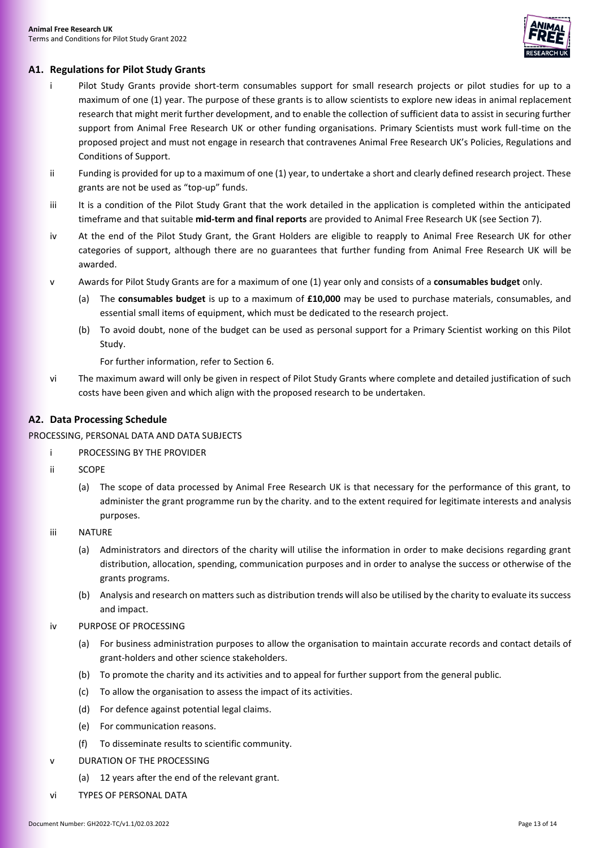

# <span id="page-12-0"></span>**A1. Regulations for Pilot Study Grants**

- i Pilot Study Grants provide short-term consumables support for small research projects or pilot studies for up to a maximum of one (1) year. The purpose of these grants is to allow scientists to explore new ideas in animal replacement research that might merit further development, and to enable the collection of sufficient data to assist in securing further support from Animal Free Research UK or other funding organisations. Primary Scientists must work full-time on the proposed project and must not engage in research that contravenes Animal Free Research UK's Policies, Regulations and Conditions of Support.
- ii Funding is provided for up to a maximum of one (1) year, to undertake a short and clearly defined research project. These grants are not be used as "top-up" funds.
- iii It is a condition of the Pilot Study Grant that the work detailed in the application is completed within the anticipated timeframe and that suitable **mid-term and final reports** are provided to Animal Free Research UK (see Section [7\)](#page-3-0).
- iv At the end of the Pilot Study Grant, the Grant Holders are eligible to reapply to Animal Free Research UK for other categories of support, although there are no guarantees that further funding from Animal Free Research UK will be awarded.
- v Awards for Pilot Study Grants are for a maximum of one (1) year only and consists of a **consumables budget** only.
	- (a) The **consumables budget** is up to a maximum of **£10,000** may be used to purchase materials, consumables, and essential small items of equipment, which must be dedicated to the research project.
	- (b) To avoid doubt, none of the budget can be used as personal support for a Primary Scientist working on this Pilot Study.

For further information, refer to Section [6.](#page-2-2)

vi The maximum award will only be given in respect of Pilot Study Grants where complete and detailed justification of such costs have been given and which align with the proposed research to be undertaken.

# <span id="page-12-1"></span>**A2. Data Processing Schedule**

#### PROCESSING, PERSONAL DATA AND DATA SUBJECTS

- i PROCESSING BY THE PROVIDER
- ii SCOPE
	- (a) The scope of data processed by Animal Free Research UK is that necessary for the performance of this grant, to administer the grant programme run by the charity. and to the extent required for legitimate interests and analysis purposes.
- iii NATURE
	- (a) Administrators and directors of the charity will utilise the information in order to make decisions regarding grant distribution, allocation, spending, communication purposes and in order to analyse the success or otherwise of the grants programs.
	- (b) Analysis and research on matters such as distribution trends will also be utilised by the charity to evaluate its success and impact.
- iv PURPOSE OF PROCESSING
	- (a) For business administration purposes to allow the organisation to maintain accurate records and contact details of grant-holders and other science stakeholders.
	- (b) To promote the charity and its activities and to appeal for further support from the general public.
	- (c) To allow the organisation to assess the impact of its activities.
	- (d) For defence against potential legal claims.
	- (e) For communication reasons.
	- (f) To disseminate results to scientific community.
- v DURATION OF THE PROCESSING
	- (a) 12 years after the end of the relevant grant.
- vi TYPES OF PERSONAL DATA